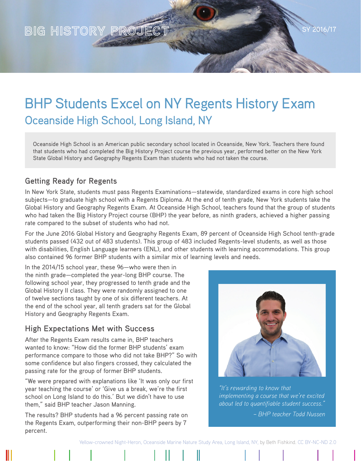

# BHP Students Excel on NY Regents History Exam Oceanside High School, Long Island, NY

Oceanside High School is an American public secondary school located in Oceanside, New York. Teachers there found that students who had completed the Big History Project course the previous year, performed better on the New York State Global History and Geography Regents Exam than students who had not taken the course.

#### **Getting Ready for Regents**

In New York State, students must pass Regents Examinations—statewide, standardized exams in core high school subjects—to graduate high school with a Regents Diploma. At the end of tenth grade, New York students take the Global History and Geography Regents Exam. At Oceanside High School, teachers found that the group of students who had taken the Big History Project course (BHP) the year before, as ninth graders, achieved a higher passing rate compared to the subset of students who had not.

For the June 2016 Global History and Geography Regents Exam, 89 percent of Oceanside High School tenth-grade students passed (432 out of 483 students). This group of 483 included Regents-level students, as well as those with disabilities, English Language learners (ENL), and other students with learning accommodations. This group also contained 96 former BHP students with a similar mix of learning levels and needs.

In the 2014/15 school year, these 96—who were then in the ninth grade—completed the year-long BHP course. The following school year, they progressed to tenth grade and the Global History II class. They were randomly assigned to one of twelve sections taught by one of six different teachers. At the end of the school year, all tenth graders sat for the Global History and Geography Regents Exam.

#### **High Expectations Met with Success**

After the Regents Exam results came in, BHP teachers wanted to know: "How did the former BHP students' exam performance compare to those who did not take BHP?" So with some confidence but also fingers crossed, they calculated the passing rate for the group of former BHP students.

"We were prepared with explanations like 'It was only our first year teaching the course' or 'Give us a break, we're the first school on Long Island to do this.' But we didn't have to use them," said BHP teacher Jason Manning.

The results? BHP students had a 96 percent passing rate on the Regents Exam, outperforming their non-BHP peers by 7 percent.



*"It's rewarding to know that implementing a course that we're excited about led to quantifiable student success."* 

*– BHP teacher Todd Nussen*

[Yellow-crowned Night-Heron, Oceanside Marine Nature Study Area, Long Island, NY,](https://www.flickr.com/photos/bcfoto/9624598678/in/dateposted/) by Beth Fishkind. [CC BY-NC-ND 2.0](https://creativecommons.org/licenses/by-nc-nd/2.0/)